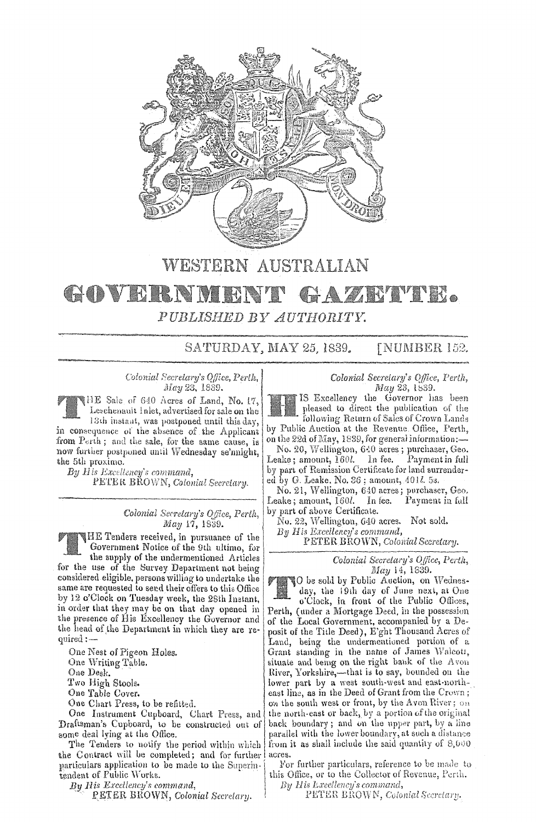

## WESTERN AUSTRALIAN GOVERN **GAZEVER.** PUBLISHED BY AUTHORITY.

SATURDAY, MAY 25, 1839. **[NUMBER 152.** 

## Colonial Secretary's Office, Perth, May 23, 1839.

WHE Sale of 640 Acres of Land, No. 17, Leschenault Inlet, advertised for sale on the 13th instant, was postponed until this day, in consequence of the absence of the Applicant from Perth; and the sale, for the same cause, is

now further postponed until Wednesday se'nnight, the 5th proximo. By His Excellency's command,

PETER BROWN, Colonial Secretary.

Colonial Secretary's Office, Perth, May 17, 1839.

HE Tenders received, in pursuance of the Government Notice of the 9th ultimo, for

the supply of the undermentioned Articles for the use of the Survey Department not being considered eligible, persons willing to undertake the same are requested to send their offers to this Office by 12 o'Clock on Tuesday week, the 28th Instant, in order that they may be on that day opened in the presence of His Excellency the Governor and the head of the Department in which they are re $quired:$ 

One Nest of Pigeon Holes.

One Writing Table.

One Desk.

Two High Stools.

One Table Cover.

One Chart Press, to be refitted.

One Instrument Cupboard, Chart Press, and Draftsman's Cupboard, to be constructed out of some deal lying at the Office.

The Tenders to notify the period within which the Contract will be completed; and for further particulars application to be made to the Superintendent of Public Works.

By His Excellency's command,

PETER BROWN, Colonial Secretary.

## Colonial Secretary's Office, Perth, May 23, 1839.

IS Excellency the Governor has been pleased to direct the publication of the following Return of Sales of Crown Lands by Public Auction at the Revenue Office, Perth, on the 22d of May, 1839, for general information:-

No. 20, Wellington, 640 acres; purchaser, Geo.<br>Leake; amount, 1601. In fee. Payment in full Payment in full by part of Remission Certificate for land surrendered by G. Leake, No. 36; amount, 4011. 5s.

No. 21, Wellington, 640 acres; purchaser, Geo.<br>aake; amount, 160l. In fee. Payment in full Leake; amount, 160l. by part of above Certificate.

No. 22, Wellington, 640 acres. Not sold.

By His Excellency's command,

PETER BROWN, Colonial Secretary.

Colonial Secretary's Office, Perth, May 14, 1839.

O be sold by Public Auction, on Wednesday, the 19th day of June next, at One

o'Clock, in front of the Public Offices, Perth, (under a Mortgage Deed, in the possession of the Local Government, accompanied by a Deposit of the Title Deed), E'ght Thousand Acres of Land, being the undermentioned portion of a Grant standing in the name of James Walcott,<br>situate and being on the right bank of the Avon River, Yorkshire,-that is to say, bounded on the lower part by a west south-west and east-northeast line, as in the Deed of Grant from the Crown; on the south west or front, by the Avon River; on the north-east or back, by a portion of the original back boundary; and on the upper part, by a line parallel with the lower boundary, at such a distance from it as shall include the said quantity of 8,000 acres.

For further particulars, reference to be made to this Office, or to the Collector of Revenue, Perth. By His Lxcellency's command,

PETER BROWN, Colonial Secretary.